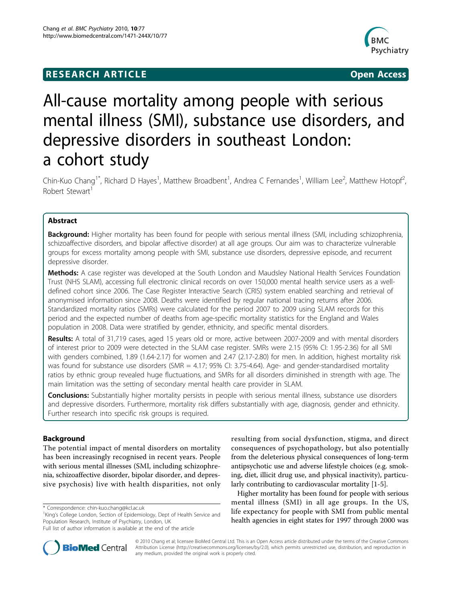# **RESEARCH ARTICLE Example 2018 12:00 Department of the Contract Open Access**



# All-cause mortality among people with serious mental illness (SMI), substance use disorders, and depressive disorders in southeast London: a cohort study

Chin-Kuo Chang<sup>1\*</sup>, Richard D Hayes<sup>1</sup>, Matthew Broadbent<sup>1</sup>, Andrea C Fernandes<sup>1</sup>, William Lee<sup>2</sup>, Matthew Hotopf<sup>2</sup> , Robert Stewart<sup>1</sup>

# Abstract

Background: Higher mortality has been found for people with serious mental illness (SMI, including schizophrenia, schizoaffective disorders, and bipolar affective disorder) at all age groups. Our aim was to characterize vulnerable groups for excess mortality among people with SMI, substance use disorders, depressive episode, and recurrent depressive disorder.

Methods: A case register was developed at the South London and Maudsley National Health Services Foundation Trust (NHS SLAM), accessing full electronic clinical records on over 150,000 mental health service users as a welldefined cohort since 2006. The Case Register Interactive Search (CRIS) system enabled searching and retrieval of anonymised information since 2008. Deaths were identified by regular national tracing returns after 2006. Standardized mortality ratios (SMRs) were calculated for the period 2007 to 2009 using SLAM records for this period and the expected number of deaths from age-specific mortality statistics for the England and Wales population in 2008. Data were stratified by gender, ethnicity, and specific mental disorders.

Results: A total of 31,719 cases, aged 15 years old or more, active between 2007-2009 and with mental disorders of interest prior to 2009 were detected in the SLAM case register. SMRs were 2.15 (95% CI: 1.95-2.36) for all SMI with genders combined, 1.89 (1.64-2.17) for women and 2.47 (2.17-2.80) for men. In addition, highest mortality risk was found for substance use disorders (SMR = 4.17; 95% CI: 3.75-4.64). Age- and gender-standardised mortality ratios by ethnic group revealed huge fluctuations, and SMRs for all disorders diminished in strength with age. The main limitation was the setting of secondary mental health care provider in SLAM.

**Conclusions:** Substantially higher mortality persists in people with serious mental illness, substance use disorders and depressive disorders. Furthermore, mortality risk differs substantially with age, diagnosis, gender and ethnicity. Further research into specific risk groups is required.

# Background

The potential impact of mental disorders on mortality has been increasingly recognised in recent years. People with serious mental illnesses (SMI, including schizophrenia, schizoaffective disorder, bipolar disorder, and depressive psychosis) live with health disparities, not only

<sup>1</sup>King's College London, Section of Epidemiology, Dept of Health Service and Population Research, Institute of Psychiatry, London, UK

resulting from social dysfunction, stigma, and direct consequences of psychopathology, but also potentially from the deleterious physical consequences of long-term antipsychotic use and adverse lifestyle choices (e.g. smoking, diet, illicit drug use, and physical inactivity), particularly contributing to cardiovascular mortality [[1-5](#page-5-0)].

Higher mortality has been found for people with serious mental illness (SMI) in all age groups. In the US, life expectancy for people with SMI from public mental health agencies in eight states for 1997 through 2000 was



© 2010 Chang et al; licensee BioMed Central Ltd. This is an Open Access article distributed under the terms of the Creative Commons Attribution License [\(http://creativecommons.org/licenses/by/2.0](http://creativecommons.org/licenses/by/2.0)), which permits unrestricted use, distribution, and reproduction in any medium, provided the original work is properly cited.

<sup>\*</sup> Correspondence: [chin-kuo.chang@kcl.ac.uk](mailto:chin-kuo.chang@kcl.ac.uk)

Full list of author information is available at the end of the article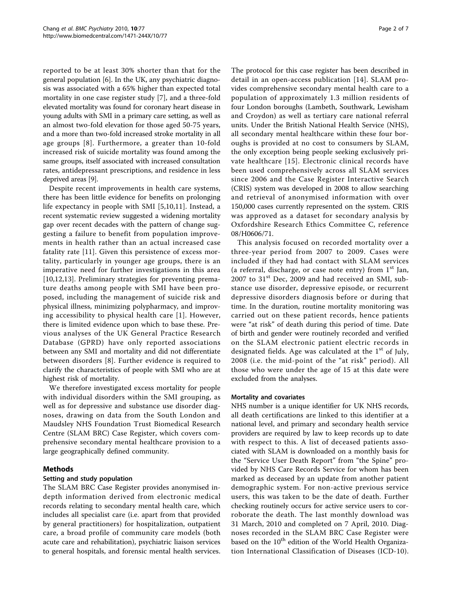reported to be at least 30% shorter than that for the general population [\[6](#page-5-0)]. In the UK, any psychiatric diagnosis was associated with a 65% higher than expected total mortality in one case register study [\[7](#page-5-0)], and a three-fold elevated mortality was found for coronary heart disease in young adults with SMI in a primary care setting, as well as an almost two-fold elevation for those aged 50-75 years, and a more than two-fold increased stroke mortality in all age groups [[8](#page-5-0)]. Furthermore, a greater than 10-fold increased risk of suicide mortality was found among the same groups, itself associated with increased consultation rates, antidepressant prescriptions, and residence in less deprived areas [\[9](#page-5-0)].

Despite recent improvements in health care systems, there has been little evidence for benefits on prolonging life expectancy in people with SMI [\[5](#page-5-0),[10,11\]](#page-5-0). Instead, a recent systematic review suggested a widening mortality gap over recent decades with the pattern of change suggesting a failure to benefit from population improvements in health rather than an actual increased case fatality rate [[11\]](#page-5-0). Given this persistence of excess mortality, particularly in younger age groups, there is an imperative need for further investigations in this area [[10,12,13](#page-5-0)]. Preliminary strategies for preventing premature deaths among people with SMI have been proposed, including the management of suicide risk and physical illness, minimizing polypharmacy, and improving accessibility to physical health care [\[1\]](#page-5-0). However, there is limited evidence upon which to base these. Previous analyses of the UK General Practice Research Database (GPRD) have only reported associations between any SMI and mortality and did not differentiate between disorders [[8\]](#page-5-0). Further evidence is required to clarify the characteristics of people with SMI who are at highest risk of mortality.

We therefore investigated excess mortality for people with individual disorders within the SMI grouping, as well as for depressive and substance use disorder diagnoses, drawing on data from the South London and Maudsley NHS Foundation Trust Biomedical Research Centre (SLAM BRC) Case Register, which covers comprehensive secondary mental healthcare provision to a large geographically defined community.

# Methods

# Setting and study population

The SLAM BRC Case Register provides anonymised indepth information derived from electronic medical records relating to secondary mental health care, which includes all specialist care (i.e. apart from that provided by general practitioners) for hospitalization, outpatient care, a broad profile of community care models (both acute care and rehabilitation), psychiatric liaison services to general hospitals, and forensic mental health services. The protocol for this case register has been described in detail in an open-access publication [[14\]](#page-5-0). SLAM provides comprehensive secondary mental health care to a population of approximately 1.3 million residents of four London boroughs (Lambeth, Southwark, Lewisham and Croydon) as well as tertiary care national referral units. Under the British National Health Service (NHS), all secondary mental healthcare within these four boroughs is provided at no cost to consumers by SLAM, the only exception being people seeking exclusively private healthcare [[15](#page-6-0)]. Electronic clinical records have been used comprehensively across all SLAM services since 2006 and the Case Register Interactive Search (CRIS) system was developed in 2008 to allow searching and retrieval of anonymised information with over 150,000 cases currently represented on the system. CRIS was approved as a dataset for secondary analysis by Oxfordshire Research Ethics Committee C, reference 08/H0606/71.

This analysis focused on recorded mortality over a three-year period from 2007 to 2009. Cases were included if they had had contact with SLAM services (a referral, discharge, or case note entry) from  $1<sup>st</sup>$  Jan,  $2007$  to  $31<sup>st</sup>$  Dec, 2009 and had received an SMI, substance use disorder, depressive episode, or recurrent depressive disorders diagnosis before or during that time. In the duration, routine mortality monitoring was carried out on these patient records, hence patients were "at risk" of death during this period of time. Date of birth and gender were routinely recorded and verified on the SLAM electronic patient electric records in designated fields. Age was calculated at the  $1<sup>st</sup>$  of July, 2008 (i.e. the mid-point of the "at risk" period). All those who were under the age of 15 at this date were excluded from the analyses.

## Mortality and covariates

NHS number is a unique identifier for UK NHS records, all death certifications are linked to this identifier at a national level, and primary and secondary health service providers are required by law to keep records up to date with respect to this. A list of deceased patients associated with SLAM is downloaded on a monthly basis for the "Service User Death Report" from "the Spine" provided by NHS Care Records Service for whom has been marked as deceased by an update from another patient demographic system. For non-active previous service users, this was taken to be the date of death. Further checking routinely occurs for active service users to corroborate the death. The last monthly download was 31 March, 2010 and completed on 7 April, 2010. Diagnoses recorded in the SLAM BRC Case Register were based on the  $10<sup>th</sup>$  edition of the World Health Organization International Classification of Diseases (ICD-10).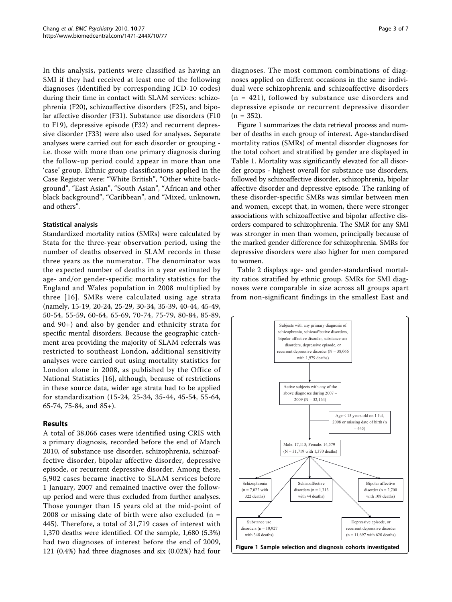In this analysis, patients were classified as having an SMI if they had received at least one of the following diagnoses (identified by corresponding ICD-10 codes) during their time in contact with SLAM services: schizophrenia (F20), schizoaffective disorders (F25), and bipolar affective disorder (F31). Substance use disorders (F10 to F19), depressive episode (F32) and recurrent depressive disorder (F33) were also used for analyses. Separate analyses were carried out for each disorder or grouping i.e. those with more than one primary diagnosis during the follow-up period could appear in more than one 'case' group. Ethnic group classifications applied in the Case Register were: "White British", "Other white background", "East Asian", "South Asian", "African and other black background", "Caribbean", and "Mixed, unknown, and others".

# Statistical analysis

Standardized mortality ratios (SMRs) were calculated by Stata for the three-year observation period, using the number of deaths observed in SLAM records in these three years as the numerator. The denominator was the expected number of deaths in a year estimated by age- and/or gender-specific mortality statistics for the England and Wales population in 2008 multiplied by three [[16](#page-6-0)]. SMRs were calculated using age strata (namely, 15-19, 20-24, 25-29, 30-34, 35-39, 40-44, 45-49, 50-54, 55-59, 60-64, 65-69, 70-74, 75-79, 80-84, 85-89, and 90+) and also by gender and ethnicity strata for specific mental disorders. Because the geographic catchment area providing the majority of SLAM referrals was restricted to southeast London, additional sensitivity analyses were carried out using mortality statistics for London alone in 2008, as published by the Office of National Statistics [[16\]](#page-6-0), although, because of restrictions in these source data, wider age strata had to be applied for standardization (15-24, 25-34, 35-44, 45-54, 55-64, 65-74, 75-84, and 85+).

## Results

A total of 38,066 cases were identified using CRIS with a primary diagnosis, recorded before the end of March 2010, of substance use disorder, schizophrenia, schizoaffective disorder, bipolar affective disorder, depressive episode, or recurrent depressive disorder. Among these, 5,902 cases became inactive to SLAM services before 1 January, 2007 and remained inactive over the followup period and were thus excluded from further analyses. Those younger than 15 years old at the mid-point of 2008 or missing date of birth were also excluded ( $n =$ 445). Therefore, a total of 31,719 cases of interest with 1,370 deaths were identified. Of the sample, 1,680 (5.3%) had two diagnoses of interest before the end of 2009, 121 (0.4%) had three diagnoses and six (0.02%) had four

diagnoses. The most common combinations of diagnoses applied on different occasions in the same individual were schizophrenia and schizoaffective disorders  $(n = 421)$ , followed by substance use disorders and depressive episode or recurrent depressive disorder  $(n = 352)$ .

Figure 1 summarizes the data retrieval process and number of deaths in each group of interest. Age-standardised mortality ratios (SMRs) of mental disorder diagnoses for the total cohort and stratified by gender are displayed in Table [1.](#page-3-0) Mortality was significantly elevated for all disorder groups - highest overall for substance use disorders, followed by schizoaffective disorder, schizophrenia, bipolar affective disorder and depressive episode. The ranking of these disorder-specific SMRs was similar between men and women, except that, in women, there were stronger associations with schizoaffective and bipolar affective disorders compared to schizophrenia. The SMR for any SMI was stronger in men than women, principally because of the marked gender difference for schizophrenia. SMRs for depressive disorders were also higher for men compared to women.

Table [2](#page-3-0) displays age- and gender-standardised mortality ratios stratified by ethnic group. SMRs for SMI diagnoses were comparable in size across all groups apart from non-significant findings in the smallest East and

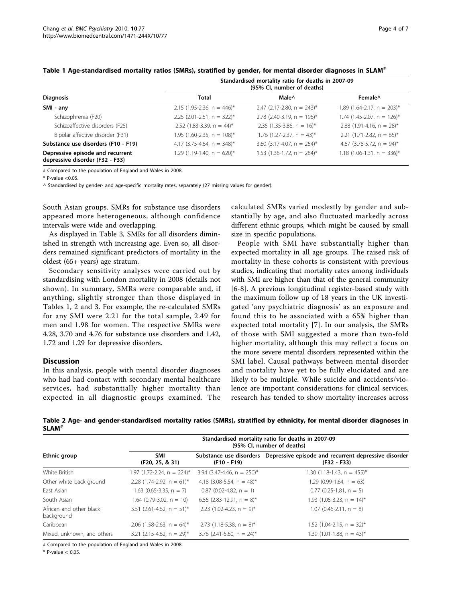|                                                                     | Standardised mortality ratio for deaths in 2007-09<br>(95% CI, number of deaths) |                                         |                                       |  |
|---------------------------------------------------------------------|----------------------------------------------------------------------------------|-----------------------------------------|---------------------------------------|--|
| <b>Diagnosis</b>                                                    | Total                                                                            | Male <sup>^</sup>                       | Female <sup><math>\wedge</math></sup> |  |
| SMI - any                                                           | 2.15 (1.95-2.36, n = 446)*                                                       | $2.47$ (2.17-2.80, n = 243)*            | $1.89$ (1.64-2.17, n = 203)*          |  |
| Schizophrenia (F20)                                                 | 2.25 (2.01-2.51, $n = 322$ )*                                                    | 2.78 (2.40-3.19, $n = 196$ )*           | $1.74$ (1.45-2.07, n = 126)*          |  |
| Schizoaffective disorders (F25)                                     | 2.52 (1.83-3.39, n = 44)*                                                        | 2.35 (1.35-3.86, $n = 16$ <sup>*</sup>  | 2.88 (1.91-4.16, $n = 28$ )*          |  |
| Bipolar affective disorder (F31)                                    | $1.95$ (1.60-2.35, n = 108)*                                                     | $1.76$ (1.27-2.37, n = 43)*             | 2.21 $(1.71 - 2.82, n = 65)^*$        |  |
| Substance use disorders (F10 - F19)                                 | 4.17 (3.75-4.64, n = $348$ )*                                                    | 3.60 (3.17-4.07, $n = 254$ <sup>*</sup> | 4.67 (3.78-5.72, $n = 94$ )*          |  |
| Depressive episode and recurrent<br>depressive disorder (F32 - F33) | 1.29 (1.19-1.40, $n = 620$ )*                                                    | 1.53 $(1.36-1.72, n = 284)^*$           | $1.18$ (1.06-1.31, n = 336)*          |  |

<span id="page-3-0"></span>Table 1 Age-standardised mortality ratios (SMRs), stratified by gender, for mental disorder diagnoses in SLAM#

# Compared to the population of England and Wales in 2008.

 $*$  P-value <0.05.

^ Standardised by gender- and age-specific mortality rates, separately (27 missing values for gender).

South Asian groups. SMRs for substance use disorders appeared more heterogeneous, although confidence intervals were wide and overlapping.

As displayed in Table [3](#page-4-0), SMRs for all disorders diminished in strength with increasing age. Even so, all disorders remained significant predictors of mortality in the oldest (65+ years) age stratum.

Secondary sensitivity analyses were carried out by standardising with London mortality in 2008 (details not shown). In summary, SMRs were comparable and, if anything, slightly stronger than those displayed in Tables 1, 2 and [3.](#page-4-0) For example, the re-calculated SMRs for any SMI were 2.21 for the total sample, 2.49 for men and 1.98 for women. The respective SMRs were 4.28, 3.70 and 4.76 for substance use disorders and 1.42, 1.72 and 1.29 for depressive disorders.

## **Discussion**

In this analysis, people with mental disorder diagnoses who had had contact with secondary mental healthcare services, had substantially higher mortality than expected in all diagnostic groups examined. The calculated SMRs varied modestly by gender and substantially by age, and also fluctuated markedly across different ethnic groups, which might be caused by small size in specific populations.

People with SMI have substantially higher than expected mortality in all age groups. The raised risk of mortality in these cohorts is consistent with previous studies, indicating that mortality rates among individuals with SMI are higher than that of the general community [[6](#page-5-0)-[8\]](#page-5-0). A previous longitudinal register-based study with the maximum follow up of 18 years in the UK investigated 'any psychiatric diagnosis' as an exposure and found this to be associated with a 65% higher than expected total mortality [[7](#page-5-0)]. In our analysis, the SMRs of those with SMI suggested a more than two-fold higher mortality, although this may reflect a focus on the more severe mental disorders represented within the SMI label. Causal pathways between mental disorder and mortality have yet to be fully elucidated and are likely to be multiple. While suicide and accidents/violence are important considerations for clinical services, research has tended to show mortality increases across

Table 2 Age- and gender-standardised mortality ratios (SMRs), stratified by ethnicity, for mental disorder diagnoses in SLAM#

|                                       | Standardised mortality ratio for deaths in 2007-09<br>(95% CI, number of deaths) |                               |                                                                                              |  |  |
|---------------------------------------|----------------------------------------------------------------------------------|-------------------------------|----------------------------------------------------------------------------------------------|--|--|
| Ethnic group                          | SMI<br>(F20, 25, & 31)                                                           | (F10 - F19)                   | Substance use disorders  Depressive episode and recurrent depressive disorder<br>(F32 - F33) |  |  |
| White British                         | $1.97$ (1.72-2.24, n = 224)*                                                     | 3.94 (3.47-4.46, n = $250$ )* | 1.30 $(1.18-1.43, n = 455)^*$                                                                |  |  |
| Other white back ground               | 2.28 $(1.74 - 2.92, n = 61)^*$                                                   | 4.18 $(3.08-5.54, n = 48)^*$  | $1.29(0.99-1.64, n = 63)$                                                                    |  |  |
| East Asian                            | $1.63$ (0.65-3.35, n = 7)                                                        | $0.87$ (0.02-4.82, n = 1)     | $0.77$ (0.25-1.81, n = 5)                                                                    |  |  |
| South Asian                           | $1.64$ (0.79-3.02, n = 10)                                                       | 6.55 $(2.83-12.91, n = 8)^*$  | 1.93 $(1.05-3.23, n = 14)^*$                                                                 |  |  |
| African and other black<br>background | $3.51$ (2.61-4.62, n = 51) <sup>*</sup>                                          | 2.23 (1.02-4.23, n = 9)*      | $1.07$ (0.46-2.11, n = 8)                                                                    |  |  |
| Caribbean                             | 2.06 (1.58-2.63, n = 64)*                                                        | 2.73 (1.18-5.38, $n = 8$ )*   | $1.52$ (1.04-2.15, n = 32)*                                                                  |  |  |
| Mixed, unknown, and others            | $3.21$ (2.15-4.62, n = 29) <sup>*</sup>                                          | $3.76$ (2.41-5.60, n = 24)*   | $1.39$ (1.01-1.88, n = 43)*                                                                  |  |  |

# Compared to the population of England and Wales in 2008.

 $*$  P-value  $< 0.05$ .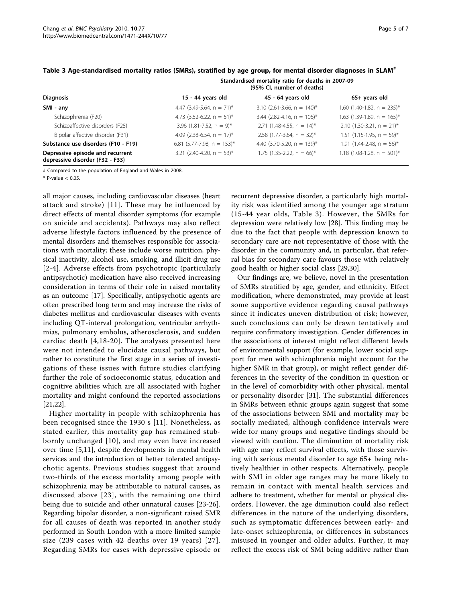|                                                                     | Standardised mortality ratio for deaths in 2007-09<br>(95% CI, number of deaths) |                                 |                                  |  |
|---------------------------------------------------------------------|----------------------------------------------------------------------------------|---------------------------------|----------------------------------|--|
| <b>Diagnosis</b>                                                    | 15 - 44 years old                                                                | 45 - 64 years old               | 65+ years old                    |  |
| SMI - any                                                           | 4.47 (3.49-5.64, $n = 71$ )*                                                     | 3.10 $(2.61 - 3.66, n = 140)^*$ | $1.60$ (1.40-1.82, n = 235)*     |  |
| Schizophrenia (F20)                                                 | 4.73 (3.52-6.22, $n = 51$ )*                                                     | 3.44 (2.82-4.16, $n = 106$ )*   | $1.63$ (1.39-1.89, n = 165)*     |  |
| Schizoaffective disorders (F25)                                     | 3.96 $(1.81 - 7.52, n = 9)^*$                                                    | 2.71 (1.48-4.55, n = $14$ )*    | 2.10 $(1.30-3.21, n = 21)^{*}$   |  |
| Bipolar affective disorder (F31)                                    | 4.09 (2.38-6.54, $n = 17$ )*                                                     | 2.58 $(1.77-3.64, n = 32)^{*}$  | $1.51$ (1.15-1.95, n = 59)*      |  |
| Substance use disorders (F10 - F19)                                 | 6.81 (5.77-7.98, n = $153$ )*                                                    | 4.40 $(3.70 - 5.20, n = 139)^*$ | 1.91 $(1.44 - 2.48, n = 56)^{*}$ |  |
| Depressive episode and recurrent<br>depressive disorder (F32 - F33) | 3.21 (2.40-4.20, $n = 53$ )*                                                     | 1.75 $(1.35 - 2.22, n = 66)^*$  | $1.18$ (1.08-1.28, n = 501)*     |  |

<span id="page-4-0"></span>Table 3 Age-standardised mortality ratios (SMRs), stratified by age group, for mental disorder diagnoses in SLAM<sup>#</sup>

# Compared to the population of England and Wales in 2008.

\* P-value < 0.05.

all major causes, including cardiovascular diseases (heart attack and stroke) [[11](#page-5-0)]. These may be influenced by direct effects of mental disorder symptoms (for example on suicide and accidents). Pathways may also reflect adverse lifestyle factors influenced by the presence of mental disorders and themselves responsible for associations with mortality; these include worse nutrition, physical inactivity, alcohol use, smoking, and illicit drug use [[2](#page-5-0)-[4](#page-5-0)]. Adverse effects from psychotropic (particularly antipsychotic) medication have also received increasing consideration in terms of their role in raised mortality as an outcome [\[17\]](#page-6-0). Specifically, antipsychotic agents are often prescribed long term and may increase the risks of diabetes mellitus and cardiovascular diseases with events including QT-interval prolongation, ventricular arrhythmias, pulmonary embolus, atherosclerosis, and sudden cardiac death [[4](#page-5-0),[18](#page-6-0)-[20\]](#page-6-0). The analyses presented here were not intended to elucidate causal pathways, but rather to constitute the first stage in a series of investigations of these issues with future studies clarifying further the role of socioeconomic status, education and cognitive abilities which are all associated with higher mortality and might confound the reported associations [[21,22\]](#page-6-0).

Higher mortality in people with schizophrenia has been recognised since the 1930 s [\[11\]](#page-5-0). Nonetheless, as stated earlier, this mortality gap has remained stubbornly unchanged [\[10\]](#page-5-0), and may even have increased over time [[5,11](#page-5-0)], despite developments in mental health services and the introduction of better tolerated antipsychotic agents. Previous studies suggest that around two-thirds of the excess mortality among people with schizophrenia may be attributable to natural causes, as discussed above [[23](#page-6-0)], with the remaining one third being due to suicide and other unnatural causes [\[23-26](#page-6-0)]. Regarding bipolar disorder, a non-significant raised SMR for all causes of death was reported in another study performed in South London with a more limited sample size (239 cases with 42 deaths over 19 years) [[27\]](#page-6-0). Regarding SMRs for cases with depressive episode or

recurrent depressive disorder, a particularly high mortality risk was identified among the younger age stratum (15-44 year olds, Table 3). However, the SMRs for depression were relatively low [\[28](#page-6-0)]. This finding may be due to the fact that people with depression known to secondary care are not representative of those with the disorder in the community and, in particular, that referral bias for secondary care favours those with relatively good health or higher social class [\[29,30](#page-6-0)].

Our findings are, we believe, novel in the presentation of SMRs stratified by age, gender, and ethnicity. Effect modification, where demonstrated, may provide at least some supportive evidence regarding causal pathways since it indicates uneven distribution of risk; however, such conclusions can only be drawn tentatively and require confirmatory investigation. Gender differences in the associations of interest might reflect different levels of environmental support (for example, lower social support for men with schizophrenia might account for the higher SMR in that group), or might reflect gender differences in the severity of the condition in question or in the level of comorbidity with other physical, mental or personality disorder [[31](#page-6-0)]. The substantial differences in SMRs between ethnic groups again suggest that some of the associations between SMI and mortality may be socially mediated, although confidence intervals were wide for many groups and negative findings should be viewed with caution. The diminution of mortality risk with age may reflect survival effects, with those surviving with serious mental disorder to age 65+ being relatively healthier in other respects. Alternatively, people with SMI in older age ranges may be more likely to remain in contact with mental health services and adhere to treatment, whether for mental or physical disorders. However, the age diminution could also reflect differences in the nature of the underlying disorders, such as symptomatic differences between early- and late-onset schizophrenia, or differences in substances misused in younger and older adults. Further, it may reflect the excess risk of SMI being additive rather than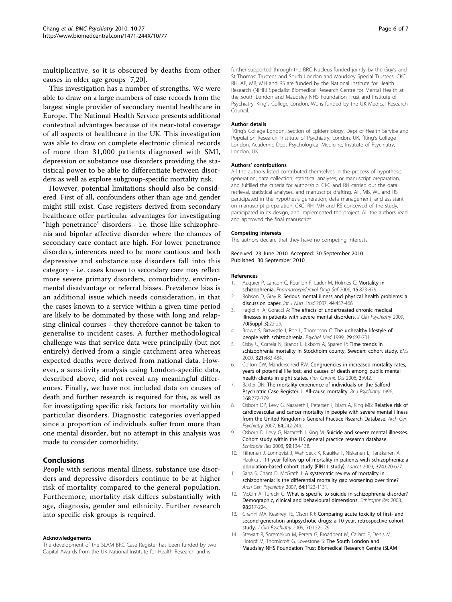<span id="page-5-0"></span>multiplicative, so it is obscured by deaths from other causes in older age groups [7,[20\]](#page-6-0).

This investigation has a number of strengths. We were able to draw on a large numbers of case records from the largest single provider of secondary mental healthcare in Europe. The National Health Service presents additional contextual advantages because of its near-total coverage of all aspects of healthcare in the UK. This investigation was able to draw on complete electronic clinical records of more than 31,000 patients diagnosed with SMI, depression or substance use disorders providing the statistical power to be able to differentiate between disorders as well as explore subgroup-specific mortality risk.

However, potential limitations should also be considered. First of all, confounders other than age and gender might still exist. Case registers derived from secondary healthcare offer particular advantages for investigating "high penetrance" disorders - i.e. those like schizophrenia and bipolar affective disorder where the chances of secondary care contact are high. For lower penetrance disorders, inferences need to be more cautious and both depressive and substance use disorders fall into this category - i.e. cases known to secondary care may reflect more severe primary disorders, comorbidity, environmental disadvantage or referral biases. Prevalence bias is an additional issue which needs consideration, in that the cases known to a service within a given time period are likely to be dominated by those with long and relapsing clinical courses - they therefore cannot be taken to generalise to incident cases. A further methodological challenge was that service data were principally (but not entirely) derived from a single catchment area whereas expected deaths were derived from national data. However, a sensitivity analysis using London-specific data, described above, did not reveal any meaningful differences. Finally, we have not included data on causes of death and further research is required for this, as well as for investigating specific risk factors for mortality within particular disorders. Diagnostic categories overlapped since a proportion of individuals suffer from more than one mental disorder, but no attempt in this analysis was made to consider comorbidity.

## Conclusions

People with serious mental illness, substance use disorders and depressive disorders continue to be at higher risk of mortality compared to the general population. Furthermore, mortality risk differs substantially with age, diagnosis, gender and ethnicity. Further research into specific risk groups is required.

#### Acknowledgements

The development of the SLAM BRC Case Register has been funded by two Capital Awards from the UK National Institute for Health Research and is

further supported through the BRC Nucleus funded jointly by the Guy's and St Thomas' Trustees and South London and Maudsley Special Trustees. CKC, RH, AF, MB, MH and RS are funded by the National Institute for Health Research (NIHR) Specialist Biomedical Research Centre for Mental Health at the South London and Maudsley NHS Foundation Trust and Institute of Psychiatry, King's College London. WL is funded by the UK Medical Research Council.

#### Author details

<sup>1</sup>King's College London, Section of Epidemiology, Dept of Health Service and Population Research, Institute of Psychiatry, London, UK. <sup>2</sup>King's College London, Academic Dept Psychological Medicine, Institute of Psychiatry, London, UK.

#### Authors' contributions

All the authors listed contributed themselves in the process of hypothesis generation, data collection, statistical analyses, or manuscript preparation, and fulfilled the criteria for authorship. CKC and RH carried out the data retrieval, statistical analyses, and manuscript drafting. AF, MB, WL and RS participated in the hypothesis generation, data management, and assistant on manuscript preparation. CKC, RH, MH and RS conceived of the study, participated in its design, and implemented the project. All the authors read and approved the final manuscript.

#### Competing interests

The authors declare that they have no competing interests.

Received: 23 June 2010 Accepted: 30 September 2010 Published: 30 September 2010

#### References

- 1. Auquier P, Lancon C, Rouillon F, Lader M, Holmes C: [Mortality in](http://www.ncbi.nlm.nih.gov/pubmed/17058327?dopt=Abstract) [schizophrenia.](http://www.ncbi.nlm.nih.gov/pubmed/17058327?dopt=Abstract) Pharmacoepidemiol Drug Saf 2006, 15:873-879.
- 2. Robson D, Gray R: [Serious mental illness and physical health problems: a](http://www.ncbi.nlm.nih.gov/pubmed/17007859?dopt=Abstract) [discussion paper.](http://www.ncbi.nlm.nih.gov/pubmed/17007859?dopt=Abstract) Int J Nurs Stud 2007, 44:457-466.
- 3. Fagiolini A, Goracci A: [The effects of undertreated chronic medical](http://www.ncbi.nlm.nih.gov/pubmed/19570498?dopt=Abstract) [illnesses in patients with severe mental disorders.](http://www.ncbi.nlm.nih.gov/pubmed/19570498?dopt=Abstract) J Clin Psychiatry 2009, 70(Suppl 3):22-29.
- 4. Brown S, Birtwistle J, Roe L, Thompson C: [The unhealthy lifestyle of](http://www.ncbi.nlm.nih.gov/pubmed/10405091?dopt=Abstract) [people with schizophrenia.](http://www.ncbi.nlm.nih.gov/pubmed/10405091?dopt=Abstract) Psychol Med 1999, 29:697-701.
- 5. Osby U, Correia N, Brandt L, Ekbom A, Sparen P: [Time trends in](http://www.ncbi.nlm.nih.gov/pubmed/10948028?dopt=Abstract) [schizophrenia mortality in Stockholm county, Sweden: cohort study.](http://www.ncbi.nlm.nih.gov/pubmed/10948028?dopt=Abstract) BMJ 2000, 321:483-484.
- 6. Colton CW, Manderscheid RW: [Congruencies in increased mortality rates,](http://www.ncbi.nlm.nih.gov/pubmed/16539783?dopt=Abstract) [years of potential life lost, and causes of death among public mental](http://www.ncbi.nlm.nih.gov/pubmed/16539783?dopt=Abstract) [health clients in eight states.](http://www.ncbi.nlm.nih.gov/pubmed/16539783?dopt=Abstract) Prev Chronic Dis 2006, 3:A42.
- Baxter DN: [The mortality experience of individuals on the Salford](http://www.ncbi.nlm.nih.gov/pubmed/8773823?dopt=Abstract) [Psychiatric Case Register. I. All-cause mortality.](http://www.ncbi.nlm.nih.gov/pubmed/8773823?dopt=Abstract) Br J Psychiatry 1996, 168:772-779.
- 8. Osborn DP, Levy G, Nazareth I, Petersen I, Islam A, King MB: [Relative risk of](http://www.ncbi.nlm.nih.gov/pubmed/17283292?dopt=Abstract) [cardiovascular and cancer mortality in people with severe mental illness](http://www.ncbi.nlm.nih.gov/pubmed/17283292?dopt=Abstract) from the United Kingdom'[s General Practice Rsearch Database.](http://www.ncbi.nlm.nih.gov/pubmed/17283292?dopt=Abstract) Arch Gen Psychiatry 2007, 64:242-249.
- 9. Osborn D, Levy G, Nazareth I, King M: [Suicide and severe mental illnesses.](http://www.ncbi.nlm.nih.gov/pubmed/18155881?dopt=Abstract) [Cohort study within the UK general practice research database.](http://www.ncbi.nlm.nih.gov/pubmed/18155881?dopt=Abstract) Schizophr Res 2008, 99:134-138.
- 10. Tiihonen J, Lonnqvist J, Wahlbeck K, Klaukka T, Niskanen L, Tanskanen A, Haukka J: [11-year follow-up of mortality in patients with schizophrenia: a](http://www.ncbi.nlm.nih.gov/pubmed/19595447?dopt=Abstract) [population-based cohort study \(FIN11 study\).](http://www.ncbi.nlm.nih.gov/pubmed/19595447?dopt=Abstract) Lancet 2009, 374:620-627.
- 11. Saha S, Chant D, McGrath J: [A systematic review of mortality in](http://www.ncbi.nlm.nih.gov/pubmed/17909124?dopt=Abstract) [schizophrenia: is the differential mortality gap worsening over time?](http://www.ncbi.nlm.nih.gov/pubmed/17909124?dopt=Abstract) Arch Gen Psychiatry 2007, 64:1123-1131.
- 12. McGirr A, Turecki G: [What is specific to suicide in schizophrenia disorder?](http://www.ncbi.nlm.nih.gov/pubmed/17942279?dopt=Abstract) [Demographic, clinical and behavioural dimensions.](http://www.ncbi.nlm.nih.gov/pubmed/17942279?dopt=Abstract) Schizophr Res 2008, 98:217-224.
- 13. Ciranni MA, Kearney TE, Olson KR: [Comparing acute toxicity of first- and](http://www.ncbi.nlm.nih.gov/pubmed/19192473?dopt=Abstract) [second-generation antipsychotic drugs: a 10-year, retrospective cohort](http://www.ncbi.nlm.nih.gov/pubmed/19192473?dopt=Abstract) [study.](http://www.ncbi.nlm.nih.gov/pubmed/19192473?dopt=Abstract) J Clin Psychiatry 2009, 70:122-129.
- 14. Stewart R, Soremekun M, Perera G, Broadbent M, Callard F, Denis M, Hotopf M, Thornicroft G, Lovestone S: [The South London and](http://www.ncbi.nlm.nih.gov/pubmed/19674459?dopt=Abstract) [Maudsley NHS Foundation Trust Biomedical Research Centre \(SLAM](http://www.ncbi.nlm.nih.gov/pubmed/19674459?dopt=Abstract)